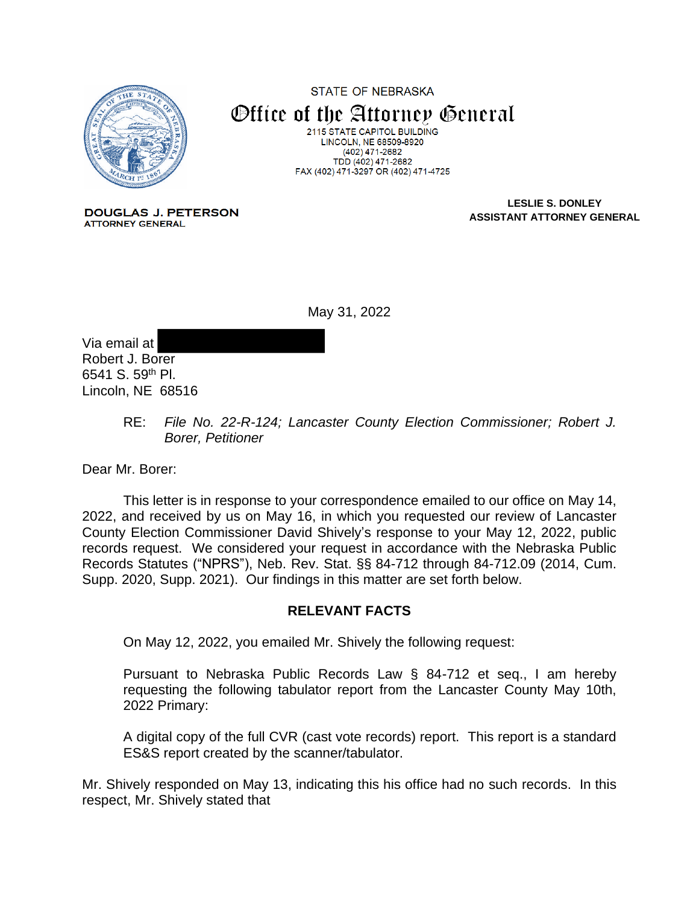

STATE OF NEBRASKA Office of the Attorney General 2115 STATE CAPITOL BUILDING LINCOLN, NE 68509-8920  $(402)$  471-2682 TDD (402) 471-2682 FAX (402) 471-3297 OR (402) 471-4725

**DOUGLAS J. PETERSON ATTORNEY GENERAL** 

**LESLIE S. DONLEY ASSISTANT ATTORNEY GENERAL**

May 31, 2022

Via email at Robert J. Borer 6541 S. 59th Pl. Lincoln, NE 68516

> RE: *File No. 22-R-124; Lancaster County Election Commissioner; Robert J. Borer, Petitioner*

Dear Mr. Borer:

This letter is in response to your correspondence emailed to our office on May 14, 2022, and received by us on May 16, in which you requested our review of Lancaster County Election Commissioner David Shively's response to your May 12, 2022, public records request. We considered your request in accordance with the Nebraska Public Records Statutes ("NPRS"), Neb. Rev. Stat. §§ 84-712 through 84-712.09 (2014, Cum. Supp. 2020, Supp. 2021). Our findings in this matter are set forth below.

## **RELEVANT FACTS**

On May 12, 2022, you emailed Mr. Shively the following request:

Pursuant to Nebraska Public Records Law § 84-712 et seq., I am hereby requesting the following tabulator report from the Lancaster County May 10th, 2022 Primary:

A digital copy of the full CVR (cast vote records) report. This report is a standard ES&S report created by the scanner/tabulator.

Mr. Shively responded on May 13, indicating this his office had no such records. In this respect, Mr. Shively stated that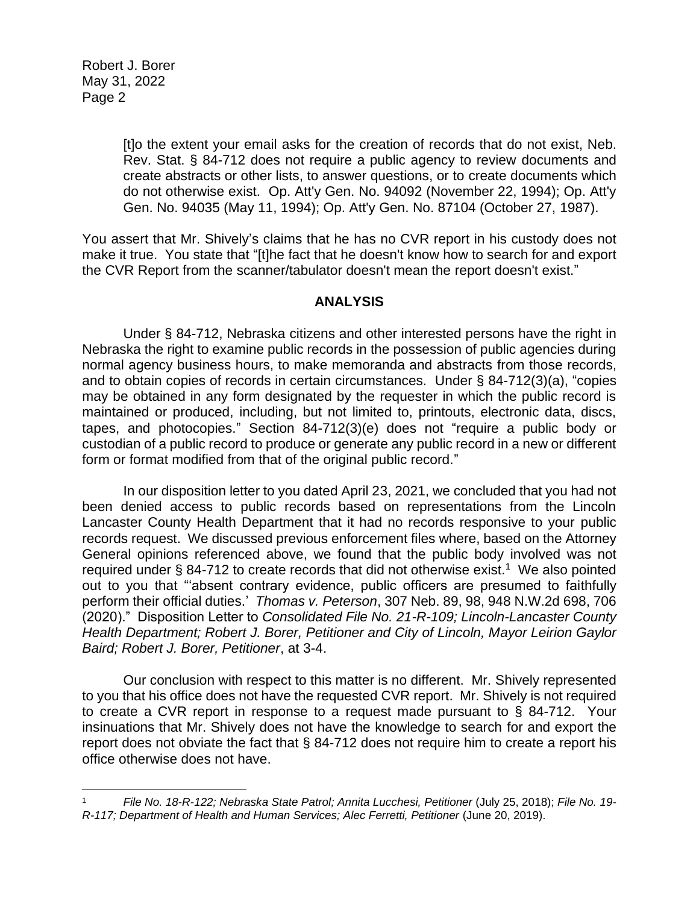Robert J. Borer May 31, 2022 Page 2

> [t]o the extent your email asks for the creation of records that do not exist, Neb. Rev. Stat. § 84-712 does not require a public agency to review documents and create abstracts or other lists, to answer questions, or to create documents which do not otherwise exist. Op. Att'y Gen. No. 94092 (November 22, 1994); Op. Att'y Gen. No. 94035 (May 11, 1994); Op. Att'y Gen. No. 87104 (October 27, 1987).

You assert that Mr. Shively's claims that he has no CVR report in his custody does not make it true. You state that "[t]he fact that he doesn't know how to search for and export the CVR Report from the scanner/tabulator doesn't mean the report doesn't exist."

## **ANALYSIS**

Under § 84-712, Nebraska citizens and other interested persons have the right in Nebraska the right to examine public records in the possession of public agencies during normal agency business hours, to make memoranda and abstracts from those records, and to obtain copies of records in certain circumstances. Under § 84-712(3)(a), "copies may be obtained in any form designated by the requester in which the public record is maintained or produced, including, but not limited to, printouts, electronic data, discs, tapes, and photocopies." Section 84-712(3)(e) does not "require a public body or custodian of a public record to produce or generate any public record in a new or different form or format modified from that of the original public record."

In our disposition letter to you dated April 23, 2021, we concluded that you had not been denied access to public records based on representations from the Lincoln Lancaster County Health Department that it had no records responsive to your public records request. We discussed previous enforcement files where, based on the Attorney General opinions referenced above, we found that the public body involved was not required under  $\S$  84-712 to create records that did not otherwise exist.<sup>1</sup> We also pointed out to you that "'absent contrary evidence, public officers are presumed to faithfully perform their official duties.' *Thomas v. Peterson*, 307 Neb. 89, 98, 948 N.W.2d 698, 706 (2020)." Disposition Letter to *Consolidated File No. 21-R-109; Lincoln-Lancaster County Health Department; Robert J. Borer, Petitioner and City of Lincoln, Mayor Leirion Gaylor Baird; Robert J. Borer, Petitioner*, at 3-4.

Our conclusion with respect to this matter is no different. Mr. Shively represented to you that his office does not have the requested CVR report. Mr. Shively is not required to create a CVR report in response to a request made pursuant to § 84-712. Your insinuations that Mr. Shively does not have the knowledge to search for and export the report does not obviate the fact that § 84-712 does not require him to create a report his office otherwise does not have.

<sup>1</sup> *File No. 18-R-122; Nebraska State Patrol; Annita Lucchesi, Petitioner* (July 25, 2018); *File No. 19- R-117; Department of Health and Human Services; Alec Ferretti, Petitioner* (June 20, 2019).